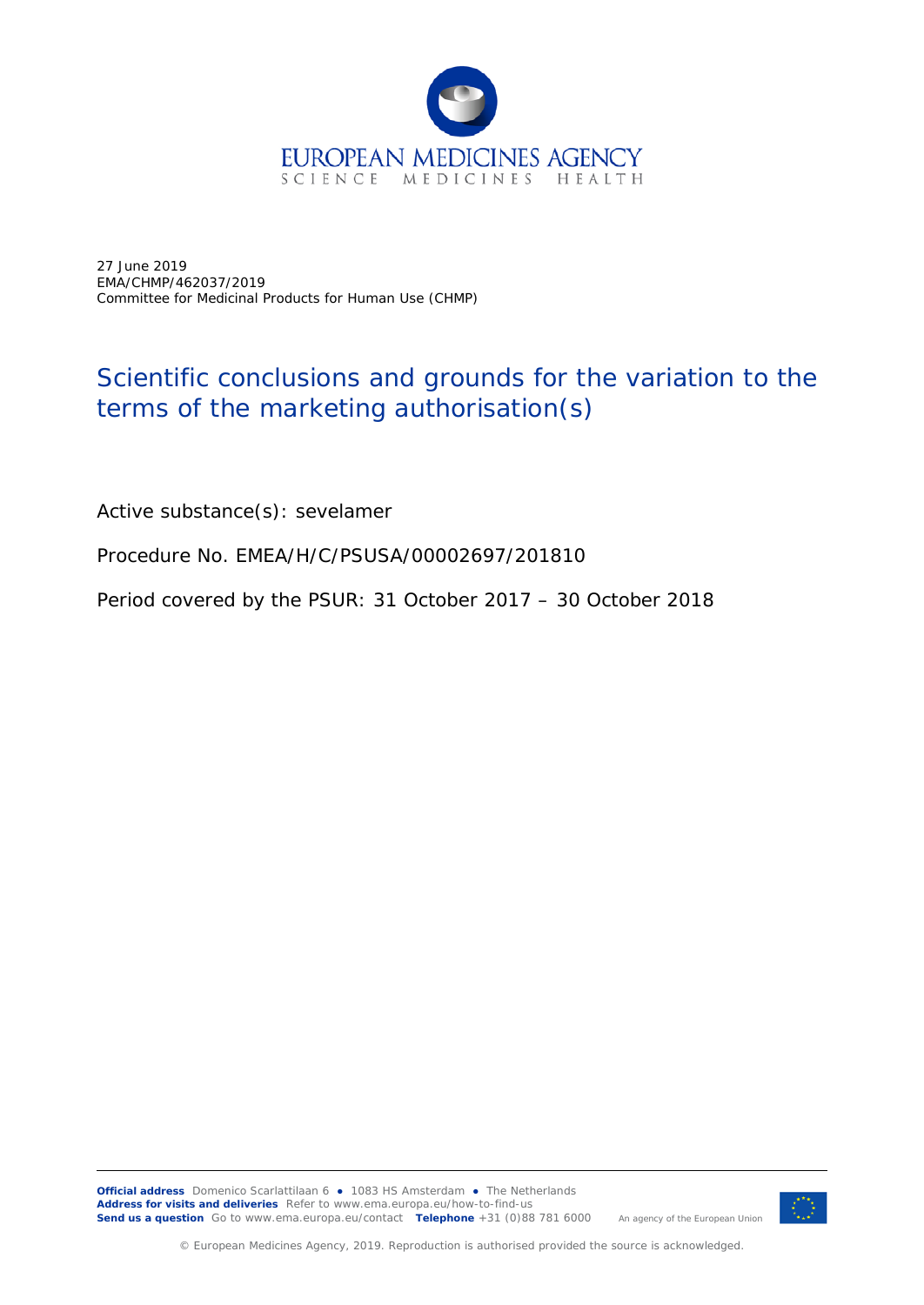

27 June 2019 EMA/CHMP/462037/2019 Committee for Medicinal Products for Human Use (CHMP)

## Scientific conclusions and grounds for the variation to the terms of the marketing authorisation(s)

Active substance(s): sevelamer

Procedure No. EMEA/H/C/PSUSA/00002697/201810

Period covered by the PSUR: 31 October 2017 – 30 October 2018